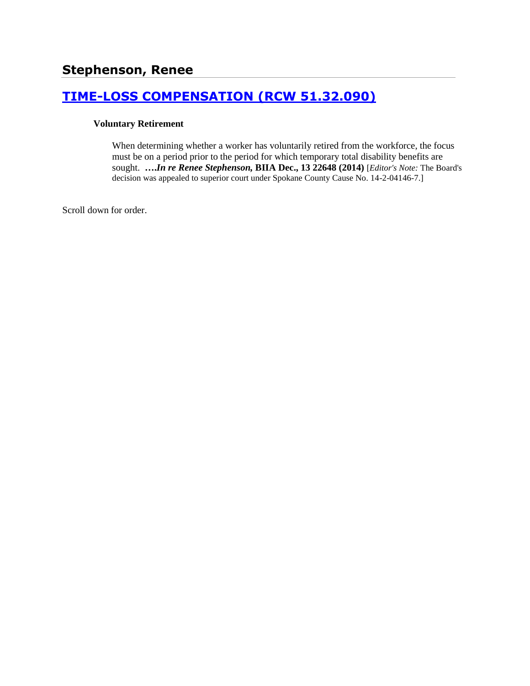# **[TIME-LOSS COMPENSATION \(RCW 51.32.090\)](http://www.biia.wa.gov/SDSubjectIndex.html#TIME_LOSS_COMPENSATION)**

#### **Voluntary Retirement**

When determining whether a worker has voluntarily retired from the workforce, the focus must be on a period prior to the period for which temporary total disability benefits are sought. **….***In re Renee Stephenson,* **BIIA Dec., 13 22648 (2014)** [*Editor's Note:* The Board's decision was appealed to superior court under Spokane County Cause No. 14-2-04146-7.]

Scroll down for order.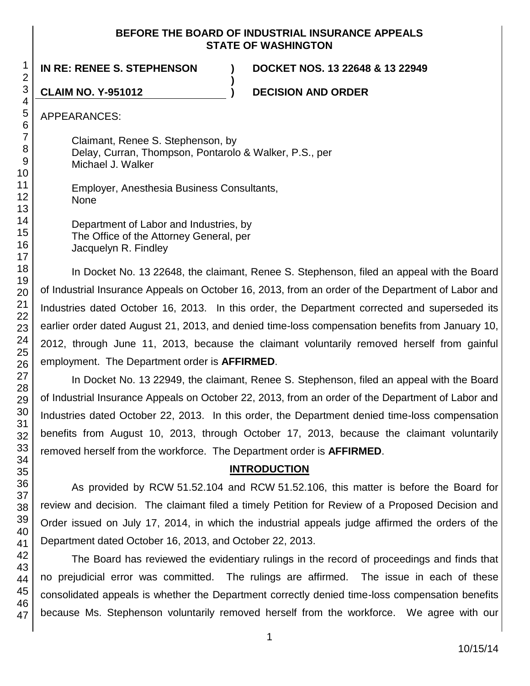#### **BEFORE THE BOARD OF INDUSTRIAL INSURANCE APPEALS STATE OF WASHINGTON**

**)**

**IN RE: RENEE S. STEPHENSON ) DOCKET NOS. 13 22648 & 13 22949**

**CLAIM NO. Y-951012 ) DECISION AND ORDER**

APPEARANCES:

Claimant, Renee S. Stephenson, by Delay, Curran, Thompson, Pontarolo & Walker, P.S., per Michael J. Walker

Employer, Anesthesia Business Consultants, None

Department of Labor and Industries, by The Office of the Attorney General, per Jacquelyn R. Findley

In Docket No. 13 22648, the claimant, Renee S. Stephenson, filed an appeal with the Board of Industrial Insurance Appeals on October 16, 2013, from an order of the Department of Labor and Industries dated October 16, 2013. In this order, the Department corrected and superseded its earlier order dated August 21, 2013, and denied time-loss compensation benefits from January 10, 2012, through June 11, 2013, because the claimant voluntarily removed herself from gainful employment. The Department order is **AFFIRMED**.

In Docket No. 13 22949, the claimant, Renee S. Stephenson, filed an appeal with the Board of Industrial Insurance Appeals on October 22, 2013, from an order of the Department of Labor and Industries dated October 22, 2013. In this order, the Department denied time-loss compensation benefits from August 10, 2013, through October 17, 2013, because the claimant voluntarily removed herself from the workforce. The Department order is **AFFIRMED**.

## **INTRODUCTION**

As provided by RCW 51.52.104 and RCW 51.52.106, this matter is before the Board for review and decision. The claimant filed a timely Petition for Review of a Proposed Decision and Order issued on July 17, 2014, in which the industrial appeals judge affirmed the orders of the Department dated October 16, 2013, and October 22, 2013.

The Board has reviewed the evidentiary rulings in the record of proceedings and finds that no prejudicial error was committed. The rulings are affirmed. The issue in each of these consolidated appeals is whether the Department correctly denied time-loss compensation benefits because Ms. Stephenson voluntarily removed herself from the workforce. We agree with our

1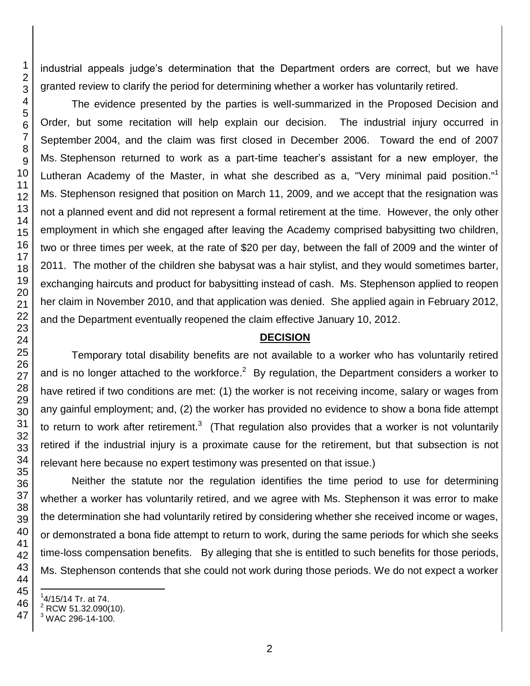industrial appeals judge's determination that the Department orders are correct, but we have granted review to clarify the period for determining whether a worker has voluntarily retired.

The evidence presented by the parties is well-summarized in the Proposed Decision and Order, but some recitation will help explain our decision. The industrial injury occurred in September 2004, and the claim was first closed in December 2006. Toward the end of 2007 Ms. Stephenson returned to work as a part-time teacher's assistant for a new employer, the Lutheran Academy of the Master, in what she described as a, "Very minimal paid position."<sup>1</sup> Ms. Stephenson resigned that position on March 11, 2009, and we accept that the resignation was not a planned event and did not represent a formal retirement at the time. However, the only other employment in which she engaged after leaving the Academy comprised babysitting two children, two or three times per week, at the rate of \$20 per day, between the fall of 2009 and the winter of 2011. The mother of the children she babysat was a hair stylist, and they would sometimes barter, exchanging haircuts and product for babysitting instead of cash. Ms. Stephenson applied to reopen her claim in November 2010, and that application was denied. She applied again in February 2012, and the Department eventually reopened the claim effective January 10, 2012.

# **DECISION**

Temporary total disability benefits are not available to a worker who has voluntarily retired and is no longer attached to the workforce.<sup>2</sup> By regulation, the Department considers a worker to have retired if two conditions are met: (1) the worker is not receiving income, salary or wages from any gainful employment; and, (2) the worker has provided no evidence to show a bona fide attempt to return to work after retirement.<sup>3</sup> (That regulation also provides that a worker is not voluntarily retired if the industrial injury is a proximate cause for the retirement, but that subsection is not relevant here because no expert testimony was presented on that issue.)

Neither the statute nor the regulation identifies the time period to use for determining whether a worker has voluntarily retired, and we agree with Ms. Stephenson it was error to make the determination she had voluntarily retired by considering whether she received income or wages, or demonstrated a bona fide attempt to return to work, during the same periods for which she seeks time-loss compensation benefits. By alleging that she is entitled to such benefits for those periods, Ms. Stephenson contends that she could not work during those periods. We do not expect a worker

l

 $14/15/14$  Tr. at 74.

 $^{2}$  RCW 51.32.090(10).

WAC 296-14-100.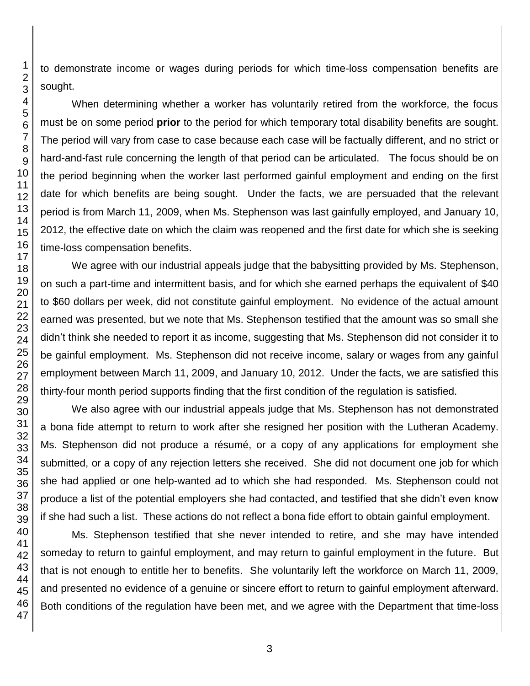to demonstrate income or wages during periods for which time-loss compensation benefits are sought.

When determining whether a worker has voluntarily retired from the workforce, the focus must be on some period **prior** to the period for which temporary total disability benefits are sought. The period will vary from case to case because each case will be factually different, and no strict or hard-and-fast rule concerning the length of that period can be articulated. The focus should be on the period beginning when the worker last performed gainful employment and ending on the first date for which benefits are being sought. Under the facts, we are persuaded that the relevant period is from March 11, 2009, when Ms. Stephenson was last gainfully employed, and January 10, 2012, the effective date on which the claim was reopened and the first date for which she is seeking time-loss compensation benefits.

We agree with our industrial appeals judge that the babysitting provided by Ms. Stephenson, on such a part-time and intermittent basis, and for which she earned perhaps the equivalent of \$40 to \$60 dollars per week, did not constitute gainful employment. No evidence of the actual amount earned was presented, but we note that Ms. Stephenson testified that the amount was so small she didn't think she needed to report it as income, suggesting that Ms. Stephenson did not consider it to be gainful employment. Ms. Stephenson did not receive income, salary or wages from any gainful employment between March 11, 2009, and January 10, 2012. Under the facts, we are satisfied this thirty-four month period supports finding that the first condition of the regulation is satisfied.

We also agree with our industrial appeals judge that Ms. Stephenson has not demonstrated a bona fide attempt to return to work after she resigned her position with the Lutheran Academy. Ms. Stephenson did not produce a résumé, or a copy of any applications for employment she submitted, or a copy of any rejection letters she received. She did not document one job for which she had applied or one help-wanted ad to which she had responded. Ms. Stephenson could not produce a list of the potential employers she had contacted, and testified that she didn't even know if she had such a list. These actions do not reflect a bona fide effort to obtain gainful employment.

Ms. Stephenson testified that she never intended to retire, and she may have intended someday to return to gainful employment, and may return to gainful employment in the future. But that is not enough to entitle her to benefits. She voluntarily left the workforce on March 11, 2009, and presented no evidence of a genuine or sincere effort to return to gainful employment afterward. Both conditions of the regulation have been met, and we agree with the Department that time-loss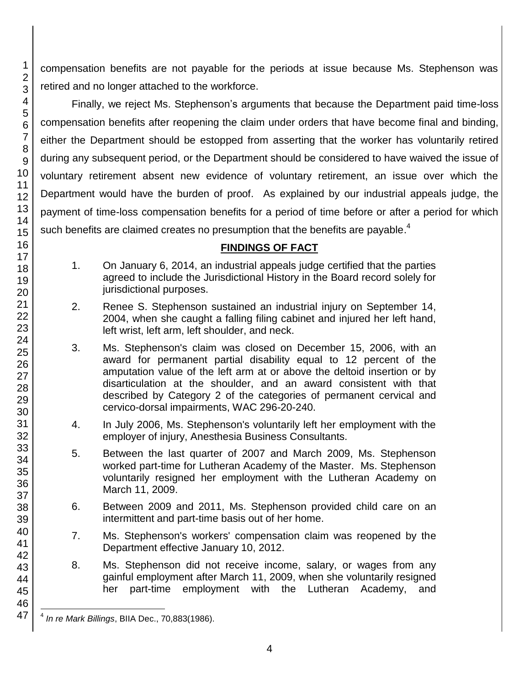compensation benefits are not payable for the periods at issue because Ms. Stephenson was retired and no longer attached to the workforce.

Finally, we reject Ms. Stephenson's arguments that because the Department paid time-loss compensation benefits after reopening the claim under orders that have become final and binding, either the Department should be estopped from asserting that the worker has voluntarily retired during any subsequent period, or the Department should be considered to have waived the issue of voluntary retirement absent new evidence of voluntary retirement, an issue over which the Department would have the burden of proof. As explained by our industrial appeals judge, the payment of time-loss compensation benefits for a period of time before or after a period for which such benefits are claimed creates no presumption that the benefits are payable.<sup>4</sup>

# **FINDINGS OF FACT**

- 1. On January 6, 2014, an industrial appeals judge certified that the parties agreed to include the Jurisdictional History in the Board record solely for jurisdictional purposes.
- 2. Renee S. Stephenson sustained an industrial injury on September 14, 2004, when she caught a falling filing cabinet and injured her left hand, left wrist, left arm, left shoulder, and neck.
- 3. Ms. Stephenson's claim was closed on December 15, 2006, with an award for permanent partial disability equal to 12 percent of the amputation value of the left arm at or above the deltoid insertion or by disarticulation at the shoulder, and an award consistent with that described by Category 2 of the categories of permanent cervical and cervico-dorsal impairments, WAC 296-20-240.
- 4. In July 2006, Ms. Stephenson's voluntarily left her employment with the employer of injury, Anesthesia Business Consultants.
- 5. Between the last quarter of 2007 and March 2009, Ms. Stephenson worked part-time for Lutheran Academy of the Master. Ms. Stephenson voluntarily resigned her employment with the Lutheran Academy on March 11, 2009.
- 6. Between 2009 and 2011, Ms. Stephenson provided child care on an intermittent and part-time basis out of her home.
- 7. Ms. Stephenson's workers' compensation claim was reopened by the Department effective January 10, 2012.
- 8. Ms. Stephenson did not receive income, salary, or wages from any gainful employment after March 11, 2009, when she voluntarily resigned her part-time employment with the Lutheran Academy, and

 $\overline{\phantom{a}}$ 4 *In re Mark Billings*, BIIA Dec., 70,883(1986).